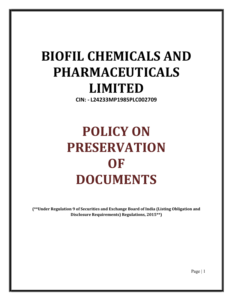# BIOFIL CHEMICALS AND PHARMACEUTICALS LIMITED

CIN: - L24233MP1985PLC002709

# POLICY ON PRESERVATION OF DOCUMENTS

(\*\*Under Regulation 9 of Securities and Exchange Board of India (Listing Obligation and Disclosure Requirements) Regulations, 2015\*\*)

Page | 1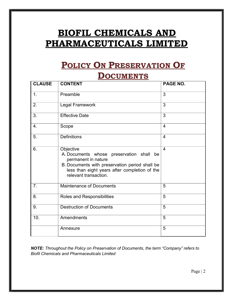### BIOFIL CHEMICALS AND PHARMACEUTICALS LIMITED

## POLICY ON PRESERVATION OF

### **DOCUMENTS**

| <b>CLAUSE</b>  | <b>CONTENT</b>                                                                                                                                                                                           | PAGE NO.       |
|----------------|----------------------------------------------------------------------------------------------------------------------------------------------------------------------------------------------------------|----------------|
| 1.             | Preamble                                                                                                                                                                                                 | $\overline{3}$ |
| 2.             | Legal Framework                                                                                                                                                                                          | $\overline{3}$ |
| 3.             | <b>Effective Date</b>                                                                                                                                                                                    | 3              |
| 4.             | Scope                                                                                                                                                                                                    | $\overline{4}$ |
| 5.             | <b>Definitions</b>                                                                                                                                                                                       | $\overline{4}$ |
| 6.             | Objective<br>A. Documents whose preservation shall be<br>permanent in nature<br>B. Documents with preservation period shall be<br>less than eight years after completion of the<br>relevant transaction. | $\overline{4}$ |
| 7 <sub>1</sub> | Maintenance of Documents                                                                                                                                                                                 | 5              |
| 8.             | Roles and Responsibilities                                                                                                                                                                               | 5              |
| 9.             | <b>Destruction of Documents</b>                                                                                                                                                                          | $\overline{5}$ |
| 10.            | Amendments                                                                                                                                                                                               | 5              |
|                | Annexure                                                                                                                                                                                                 | 5              |

NOTE: Throughout the Policy on Preservation of Documents, the term "Company" refers to Biofil Chemicals and Pharmaceuticals Limited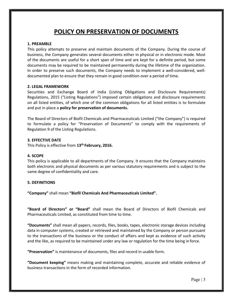### POLICY ON PRESERVATION OF DOCUMENTS

#### 1. PREAMBLE

This policy attempts to preserve and maintain documents of the Company. During the course of business, the Company generates several documents either in physical or in electronic mode. Most of the documents are useful for a short span of time and are kept for a definite period, but some documents may be required to be maintained permanently during the lifetime of the organization. In order to preserve such documents, the Company needs to implement a well-considered, welldocumented plan to ensure that they remain in good condition over a period of time.

#### 2. LEGAL FRAMEWORK

Securities and Exchange Board of India (Listing Obligations and Disclosure Requirements) Regulations, 2015 ("Listing Regulations") imposed certain obligations and disclosure requirements on all listed entities, of which one of the common obligations for all listed entities is to formulate and put in place a policy for preservation of documents.

The Board of Directors of Biofil Chemicals and Pharmaceuticals Limited ("the Company") is required to formulate a policy for "Preservation of Documents" to comply with the requirements of Regulation 9 of the Listing Regulations.

#### 3. EFFECTIVE DATE

This Policy is effective from 13<sup>th</sup> February, 2016.

#### 4. SCOPE

This policy is applicable to all departments of the Company. It ensures that the Company maintains both electronic and physical documents as per various statutory requirements and is subject to the same degree of confidentiality and care.

#### 5. DEFINITIONS

"Company" shall mean "Biofil Chemicals And Pharmaceuticals Limited".

"Board of Directors" or "Board" shall mean the Board of Directors of Biofil Chemicals and Pharmaceuticals Limited, as constituted from time to time.

"Documents" shall mean all papers, records, files, books, tapes, electronic storage devices including data in computer systems, created or retrieved and maintained by the Company or person pursuant to the transactions of the business or the conduct of affairs and kept as evidence of such activity and the like, as required to be maintained under any law or regulation for the time being in force.

"Preservation" is maintenance of documents, files and record in usable form.

"Document keeping" means making and maintaining complete, accurate and reliable evidence of business transactions in the form of recorded information.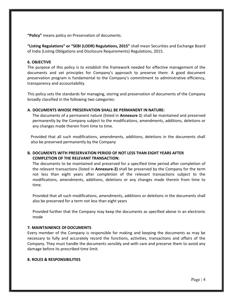"Policy" means policy on Preservation of documents.

"Listing Regulations" or "SEBI (LODR) Regulations, 2015" shall mean Securities and Exchange Board of India (Listing Obligations and Disclosure Requirements) Regulations, 2015.

#### 6. OBJECTIVE

The purpose of this policy is to establish the framework needed for effective management of the documents and set principles for Company's approach to preserve them. A good document preservation program is fundamental to the Company's commitment to administrative efficiency, transparency and accountability.

This policy sets the standards for managing, storing and preservation of documents of the Company broadly classified in the following two categories:

#### A. DOCUMENTS WHOSE PRESERVATION SHALL BE PERMANENT IN NATURE:

The documents of a permanent nature (listed in **Annexure 1**) shall be maintained and preserved permanently by the Company subject to the modifications, amendments, additions, deletions or any changes made therein from time to time.

Provided that all such modifications, amendments, additions, deletions in the documents shall also be preserved permanently by the Company

#### B. DOCUMENTS WITH PRESERVATION PERIOD OF NOT LESS THAN EIGHT YEARS AFTER COMPLETION OF THE RELEVANT TRANSACTION:

The documents to be maintained and preserved for a specified time period after completion of the relevant transactions (listed in Annexure-2) shall be preserved by the Company for the term not less than eight years after completion of the relevant transactions subject to the modifications, amendments, additions, deletions or any changes made therein from time to time.

Provided that all such modifications, amendments, additions or deletions in the documents shall also be preserved for a term not less than eight years

Provided further that the Company may keep the documents as specified above in an electronic mode

#### 7. MAINTAINENCE OF DOCUMENTS

Every member of the Company is responsible for making and keeping the documents as may be necessary to fully and accurately record the functions, activities, transactions and affairs of the Company. They must handle the documents sensibly and with care and preserve them to avoid any damage before its prescribed time limit.

#### 8. ROLES & RESPONSIBILITIES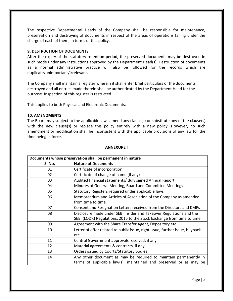The respective Departmental Heads of the Company shall be responsible for maintenance, preservation and destroying of documents in respect of the areas of operations falling under the charge of each of them, in terms of this policy.

#### 9. DESTRUCTION OF DOCUMENTS

After the expiry of the statutory retention period, the preserved documents may be destroyed in such mode under any instructions approved by the Department Head(s). Destruction of documents as a normal administrative practice will also be followed for the records which are duplicate/unimportant/irrelevant.

The Company shall maintain a register wherein it shall enter brief particulars of the documents destroyed and all entries made therein shall be authenticated by the Department Head for the purpose. Inspection of this register is restricted.

This applies to both Physical and Electronic Documents.

#### 10. AMENDMENTS

The Board may subject to the applicable laws amend any clause(s) or substitute any of the clause(s) with the new clause(s) or replace this policy entirely with a new policy. However, no such amendment or modification shall be inconsistent with the applicable provisions of any law for the time being in force.

| Documents whose preservation shall be permanent in nature |                                                                              |  |  |
|-----------------------------------------------------------|------------------------------------------------------------------------------|--|--|
| S. No.                                                    | <b>Nature of Documents</b>                                                   |  |  |
| 01                                                        | Certificate of incorporation                                                 |  |  |
| 02                                                        | Certificate of change of name (if any)                                       |  |  |
| 03                                                        | Audited financial statements/ duly signed Annual Report                      |  |  |
| 04                                                        | Minutes of General Meeting, Board and Committee Meetings                     |  |  |
| 05                                                        | Statutory Registers required under applicable laws                           |  |  |
| 06                                                        | Memorandum and Articles of Association of the Company as amended             |  |  |
|                                                           | from time to time                                                            |  |  |
| 07                                                        | Consent and Resignation Letters received from the Directors and KMPs         |  |  |
| 08                                                        | Disclosure made under SEBI Insider and Takeover Regulations and the          |  |  |
|                                                           | SEBI (LODR) Regulations, 2015 to the Stock Exchange from time to time        |  |  |
| 09                                                        | Agreement with the Share Transfer Agent, Depository etc.                     |  |  |
| 10                                                        | Letter of offer related to public issue, right issue, further issue, buyback |  |  |
|                                                           | etc                                                                          |  |  |
| 11                                                        | Central Government approvals received, if any                                |  |  |
| 12                                                        | Material agreements & contracts, if any                                      |  |  |
| 13                                                        | Orders issued by Courts/Statutory bodies                                     |  |  |
| 14                                                        | Any other document as may be required to maintain permanently in             |  |  |
|                                                           | terms of applicable law(s), maintained and preserved or as may be            |  |  |

#### ANNEXURE I